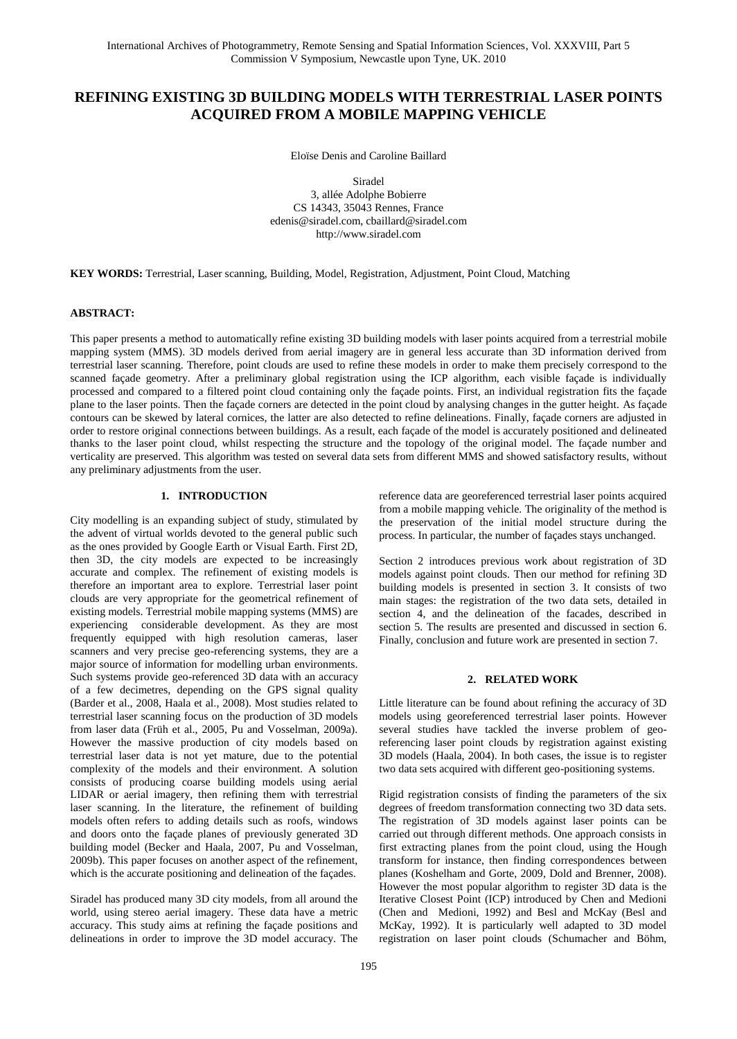# **REFINING EXISTING 3D BUILDING MODELS WITH TERRESTRIAL LASER POINTS ACQUIRED FROM A MOBILE MAPPING VEHICLE**

Eloïse Denis and Caroline Baillard

Siradel

3, allée Adolphe Bobierre CS 14343, 35043 Rennes, France edenis@siradel.com, cbaillard@siradel.com http://www.siradel.com

**KEY WORDS:** Terrestrial, Laser scanning, Building, Model, Registration, Adjustment, Point Cloud, Matching

### **ABSTRACT:**

This paper presents a method to automatically refine existing 3D building models with laser points acquired from a terrestrial mobile mapping system (MMS). 3D models derived from aerial imagery are in general less accurate than 3D information derived from terrestrial laser scanning. Therefore, point clouds are used to refine these models in order to make them precisely correspond to the scanned façade geometry. After a preliminary global registration using the ICP algorithm, each visible façade is individually processed and compared to a filtered point cloud containing only the façade points. First, an individual registration fits the façade plane to the laser points. Then the façade corners are detected in the point cloud by analysing changes in the gutter height. As façade contours can be skewed by lateral cornices, the latter are also detected to refine delineations. Finally, façade corners are adjusted in order to restore original connections between buildings. As a result, each façade of the model is accurately positioned and delineated thanks to the laser point cloud, whilst respecting the structure and the topology of the original model. The façade number and verticality are preserved. This algorithm was tested on several data sets from different MMS and showed satisfactory results, without any preliminary adjustments from the user.

# **1. INTRODUCTION**

City modelling is an expanding subject of study, stimulated by the advent of virtual worlds devoted to the general public such as the ones provided by Google Earth or Visual Earth. First 2D, then 3D, the city models are expected to be increasingly accurate and complex. The refinement of existing models is therefore an important area to explore. Terrestrial laser point clouds are very appropriate for the geometrical refinement of existing models. Terrestrial mobile mapping systems (MMS) are experiencing considerable development. As they are most frequently equipped with high resolution cameras, laser scanners and very precise geo-referencing systems, they are a major source of information for modelling urban environments. Such systems provide geo-referenced 3D data with an accuracy of a few decimetres, depending on the GPS signal quality (Barder et al., 2008, Haala et al., 2008). Most studies related to terrestrial laser scanning focus on the production of 3D models from laser data (Früh et al., 2005, Pu and Vosselman, 2009a). However the massive production of city models based on terrestrial laser data is not yet mature, due to the potential complexity of the models and their environment. A solution consists of producing coarse building models using aerial LIDAR or aerial imagery, then refining them with terrestrial laser scanning. In the literature, the refinement of building models often refers to adding details such as roofs, windows and doors onto the façade planes of previously generated 3D building model (Becker and Haala, 2007, Pu and Vosselman, 2009b). This paper focuses on another aspect of the refinement, which is the accurate positioning and delineation of the façades.

Siradel has produced many 3D city models, from all around the world, using stereo aerial imagery. These data have a metric accuracy. This study aims at refining the façade positions and delineations in order to improve the 3D model accuracy. The reference data are georeferenced terrestrial laser points acquired from a mobile mapping vehicle. The originality of the method is the preservation of the initial model structure during the process. In particular, the number of façades stays unchanged.

Section 2 introduces previous work about registration of 3D models against point clouds. Then our method for refining 3D building models is presented in section 3. It consists of two main stages: the registration of the two data sets, detailed in section 4, and the delineation of the facades, described in section 5. The results are presented and discussed in section 6. Finally, conclusion and future work are presented in section 7.

# **2. RELATED WORK**

Little literature can be found about refining the accuracy of 3D models using georeferenced terrestrial laser points. However several studies have tackled the inverse problem of georeferencing laser point clouds by registration against existing 3D models (Haala, 2004). In both cases, the issue is to register two data sets acquired with different geo-positioning systems.

Rigid registration consists of finding the parameters of the six degrees of freedom transformation connecting two 3D data sets. The registration of 3D models against laser points can be carried out through different methods. One approach consists in first extracting planes from the point cloud, using the Hough transform for instance, then finding correspondences between planes (Koshelham and Gorte, 2009, Dold and Brenner, 2008). However the most popular algorithm to register 3D data is the Iterative Closest Point (ICP) introduced by Chen and Medioni (Chen and Medioni, 1992) and Besl and McKay (Besl and McKay, 1992). It is particularly well adapted to 3D model registration on laser point clouds (Schumacher and Böhm,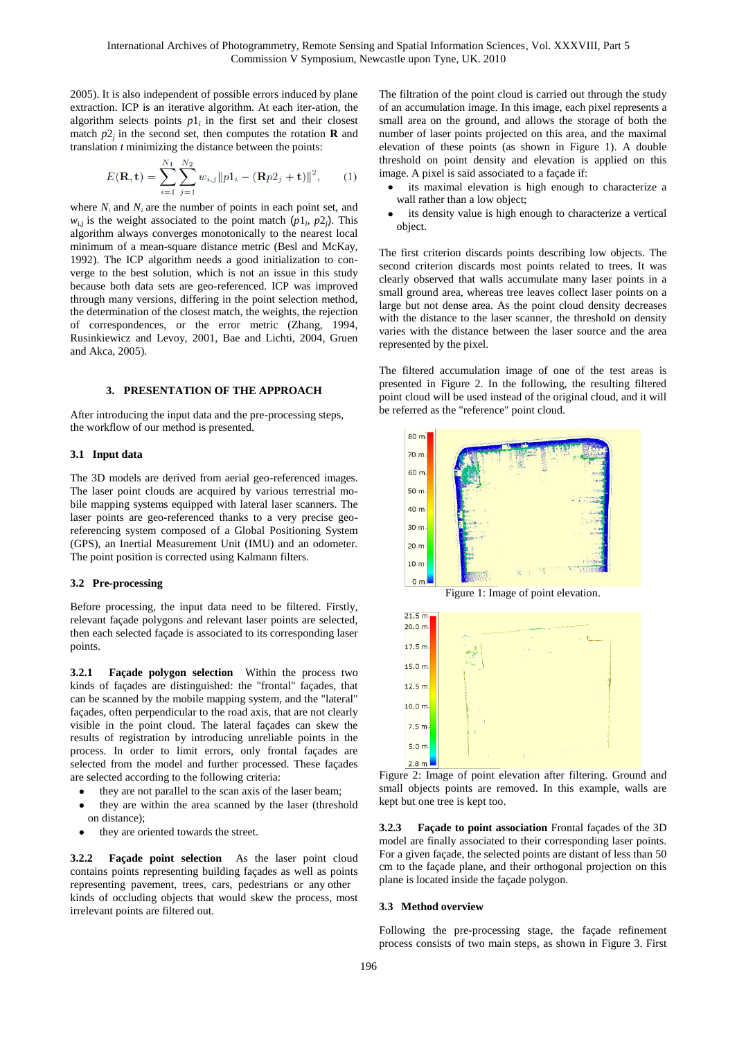2005). It is also independent of possible errors induced by plane extraction. ICP is an iterative algorithm. At each iter-ation, the algorithm selects points  $p1_i$  in the first set and their closest match  $p_2$  in the second set, then computes the rotation **R** and translation *t* minimizing the distance between the points:

$$
E(\mathbf{R}, \mathbf{t}) = \sum_{i=1}^{N_1} \sum_{j=1}^{N_2} w_{i,j} ||p1_i - (\mathbf{R}p2_j + \mathbf{t})||^2, \qquad (1)
$$

where  $N_1$  and  $N_2$  are the number of points in each point set, and  $w_{i,j}$  is the weight associated to the point match  $(p1_i, p2_j)$ . This algorithm always converges monotonically to the nearest local minimum of a mean-square distance metric (Besl and McKay, 1992). The ICP algorithm needs a good initialization to converge to the best solution, which is not an issue in this study because both data sets are geo-referenced. ICP was improved through many versions, differing in the point selection method, the determination of the closest match, the weights, the rejection of correspondences, or the error metric (Zhang, 1994, Rusinkiewicz and Levoy, 2001, Bae and Lichti, 2004, Gruen and Akca, 2005).

#### **3. PRESENTATION OF THE APPROACH**

After introducing the input data and the pre-processing steps, the workflow of our method is presented.

#### **3.1 Input data**

The 3D models are derived from aerial geo-referenced images. The laser point clouds are acquired by various terrestrial mobile mapping systems equipped with lateral laser scanners. The laser points are geo-referenced thanks to a very precise georeferencing system composed of a Global Positioning System (GPS), an Inertial Measurement Unit (IMU) and an odometer. The point position is corrected using Kalmann filters.

#### **3.2 Pre-processing**

Before processing, the input data need to be filtered. Firstly, relevant façade polygons and relevant laser points are selected, then each selected façade is associated to its corresponding laser points.

**3.2.1 Façade polygon selection** Within the process two kinds of façades are distinguished: the "frontal" façades, that can be scanned by the mobile mapping system, and the "lateral" façades, often perpendicular to the road axis, that are not clearly visible in the point cloud. The lateral façades can skew the results of registration by introducing unreliable points in the process. In order to limit errors, only frontal façades are selected from the model and further processed. These façades are selected according to the following criteria:

- they are not parallel to the scan axis of the laser beam;
- they are within the area scanned by the laser (threshold on distance);
- they are oriented towards the street.

**3.2.2 Façade point selection** As the laser point cloud contains points representing building façades as well as points representing pavement, trees, cars, pedestrians or any other kinds of occluding objects that would skew the process, most irrelevant points are filtered out.

The filtration of the point cloud is carried out through the study of an accumulation image. In this image, each pixel represents a small area on the ground, and allows the storage of both the number of laser points projected on this area, and the maximal elevation of these points (as shown in Figure 1). A double threshold on point density and elevation is applied on this image. A pixel is said associated to a façade if:

- its maximal elevation is high enough to characterize a wall rather than a low object;
- its density value is high enough to characterize a vertical object.

The first criterion discards points describing low objects. The second criterion discards most points related to trees. It was clearly observed that walls accumulate many laser points in a small ground area, whereas tree leaves collect laser points on a large but not dense area. As the point cloud density decreases with the distance to the laser scanner, the threshold on density varies with the distance between the laser source and the area represented by the pixel.

The filtered accumulation image of one of the test areas is presented in Figure 2. In the following, the resulting filtered point cloud will be used instead of the original cloud, and it will be referred as the "reference" point cloud.



Figure 1: Image of point elevation.



Figure 2: Image of point elevation after filtering. Ground and small objects points are removed. In this example, walls are kept but one tree is kept too.

**3.2.3 Façade to point association** Frontal façades of the 3D model are finally associated to their corresponding laser points. For a given façade, the selected points are distant of less than 50 cm to the façade plane, and their orthogonal projection on this plane is located inside the façade polygon.

#### **3.3 Method overview**

Following the pre-processing stage, the façade refinement process consists of two main steps, as shown in Figure 3. First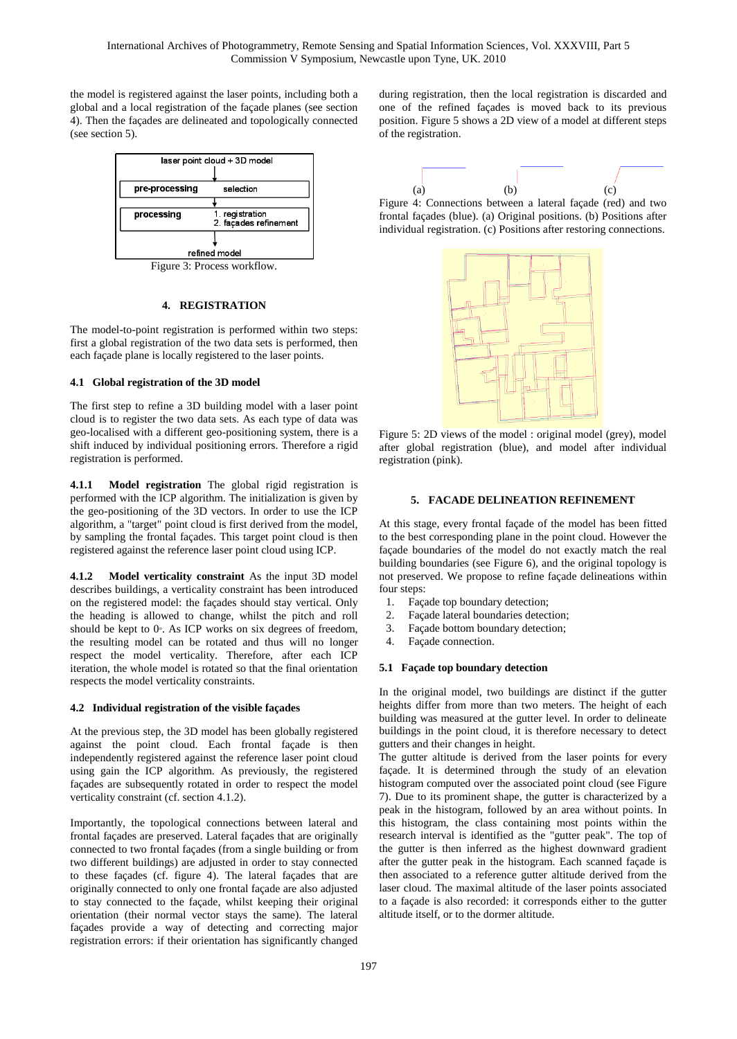the model is registered against the laser points, including both a global and a local registration of the façade planes (see section 4). Then the façades are delineated and topologically connected (see section 5).

| laser point cloud + 3D model          |                                          |
|---------------------------------------|------------------------------------------|
|                                       |                                          |
| pre-processing                        | selection                                |
|                                       |                                          |
| <b>processing</b>                     | 1. registration<br>2. façades refinement |
|                                       |                                          |
| refined model                         |                                          |
| $E_{\text{onno}}$ 2. Decesse model on |                                          |

Figure 3: Process workflow.

### **4. REGISTRATION**

The model-to-point registration is performed within two steps: first a global registration of the two data sets is performed, then each façade plane is locally registered to the laser points.

# **4.1 Global registration of the 3D model**

The first step to refine a 3D building model with a laser point cloud is to register the two data sets. As each type of data was geo-localised with a different geo-positioning system, there is a shift induced by individual positioning errors. Therefore a rigid registration is performed.

**4.1.1 Model registration** The global rigid registration is performed with the ICP algorithm. The initialization is given by the geo-positioning of the 3D vectors. In order to use the ICP algorithm, a "target" point cloud is first derived from the model, by sampling the frontal façades. This target point cloud is then registered against the reference laser point cloud using ICP.

**4.1.2 Model verticality constraint** As the input 3D model describes buildings, a verticality constraint has been introduced on the registered model: the façades should stay vertical. Only the heading is allowed to change, whilst the pitch and roll should be kept to 0°. As ICP works on six degrees of freedom, the resulting model can be rotated and thus will no longer respect the model verticality. Therefore, after each ICP iteration, the whole model is rotated so that the final orientation respects the model verticality constraints.

# **4.2 Individual registration of the visible façades**

At the previous step, the 3D model has been globally registered against the point cloud. Each frontal façade is then independently registered against the reference laser point cloud using gain the ICP algorithm. As previously, the registered façades are subsequently rotated in order to respect the model verticality constraint (cf. section 4.1.2).

Importantly, the topological connections between lateral and frontal façades are preserved. Lateral façades that are originally connected to two frontal façades (from a single building or from two different buildings) are adjusted in order to stay connected to these façades (cf. figure 4). The lateral façades that are originally connected to only one frontal façade are also adjusted to stay connected to the façade, whilst keeping their original orientation (their normal vector stays the same). The lateral façades provide a way of detecting and correcting major registration errors: if their orientation has significantly changed

during registration, then the local registration is discarded and one of the refined façades is moved back to its previous position. Figure 5 shows a 2D view of a model at different steps of the registration.



frontal façades (blue). (a) Original positions. (b) Positions after individual registration. (c) Positions after restoring connections.



Figure 5: 2D views of the model : original model (grey), model after global registration (blue), and model after individual registration (pink).

# **5. FACADE DELINEATION REFINEMENT**

At this stage, every frontal façade of the model has been fitted to the best corresponding plane in the point cloud. However the façade boundaries of the model do not exactly match the real building boundaries (see Figure 6), and the original topology is not preserved. We propose to refine façade delineations within four steps:

- 1. Façade top boundary detection;
- 2. Façade lateral boundaries detection;
- 3. Façade bottom boundary detection;
- 4. Façade connection.

# **5.1 Façade top boundary detection**

In the original model, two buildings are distinct if the gutter heights differ from more than two meters. The height of each building was measured at the gutter level. In order to delineate buildings in the point cloud, it is therefore necessary to detect gutters and their changes in height.

The gutter altitude is derived from the laser points for every façade. It is determined through the study of an elevation histogram computed over the associated point cloud (see Figure 7). Due to its prominent shape, the gutter is characterized by a peak in the histogram, followed by an area without points. In this histogram, the class containing most points within the research interval is identified as the "gutter peak". The top of the gutter is then inferred as the highest downward gradient after the gutter peak in the histogram. Each scanned façade is then associated to a reference gutter altitude derived from the laser cloud. The maximal altitude of the laser points associated to a façade is also recorded: it corresponds either to the gutter altitude itself, or to the dormer altitude.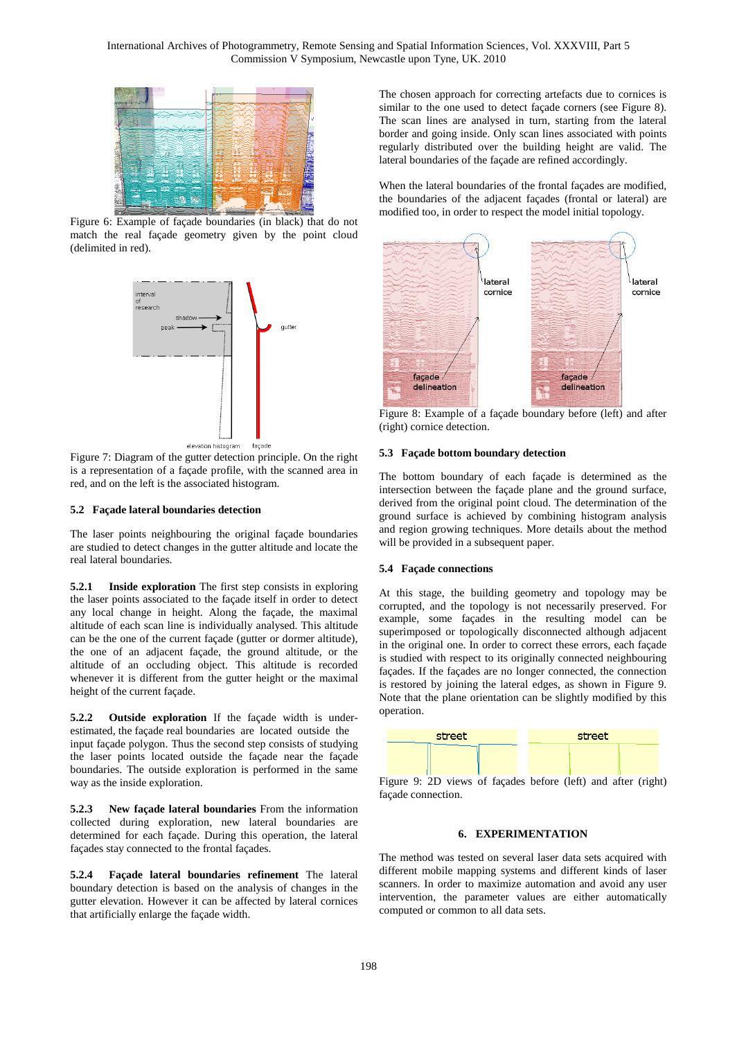

Figure 6: Example of façade boundaries (in black) that do not match the real façade geometry given by the point cloud (delimited in red).



Figure 7: Diagram of the gutter detection principle. On the right is a representation of a façade profile, with the scanned area in red, and on the left is the associated histogram.

### **5.2 Façade lateral boundaries detection**

The laser points neighbouring the original façade boundaries are studied to detect changes in the gutter altitude and locate the real lateral boundaries.

**5.2.1 Inside exploration** The first step consists in exploring the laser points associated to the façade itself in order to detect any local change in height. Along the façade, the maximal altitude of each scan line is individually analysed. This altitude can be the one of the current façade (gutter or dormer altitude), the one of an adjacent façade, the ground altitude, or the altitude of an occluding object. This altitude is recorded whenever it is different from the gutter height or the maximal height of the current façade.

**5.2.2 Outside exploration** If the façade width is underestimated, the façade real boundaries are located outside the input façade polygon. Thus the second step consists of studying the laser points located outside the façade near the façade boundaries. The outside exploration is performed in the same way as the inside exploration.

**5.2.3 New façade lateral boundaries** From the information collected during exploration, new lateral boundaries are determined for each façade. During this operation, the lateral façades stay connected to the frontal façades.

**5.2.4 Façade lateral boundaries refinement** The lateral boundary detection is based on the analysis of changes in the gutter elevation. However it can be affected by lateral cornices that artificially enlarge the façade width.

The chosen approach for correcting artefacts due to cornices is similar to the one used to detect façade corners (see Figure 8). The scan lines are analysed in turn, starting from the lateral border and going inside. Only scan lines associated with points regularly distributed over the building height are valid. The lateral boundaries of the façade are refined accordingly.

When the lateral boundaries of the frontal façades are modified, the boundaries of the adjacent façades (frontal or lateral) are modified too, in order to respect the model initial topology.



Figure 8: Example of a façade boundary before (left) and after (right) cornice detection.

#### **5.3 Façade bottom boundary detection**

The bottom boundary of each façade is determined as the intersection between the façade plane and the ground surface, derived from the original point cloud. The determination of the ground surface is achieved by combining histogram analysis and region growing techniques. More details about the method will be provided in a subsequent paper.

# **5.4 Façade connections**

At this stage, the building geometry and topology may be corrupted, and the topology is not necessarily preserved. For example, some façades in the resulting model can be superimposed or topologically disconnected although adjacent in the original one. In order to correct these errors, each façade is studied with respect to its originally connected neighbouring façades. If the façades are no longer connected, the connection is restored by joining the lateral edges, as shown in Figure 9. Note that the plane orientation can be slightly modified by this operation.



façade connection.

#### **6. EXPERIMENTATION**

The method was tested on several laser data sets acquired with different mobile mapping systems and different kinds of laser scanners. In order to maximize automation and avoid any user intervention, the parameter values are either automatically computed or common to all data sets.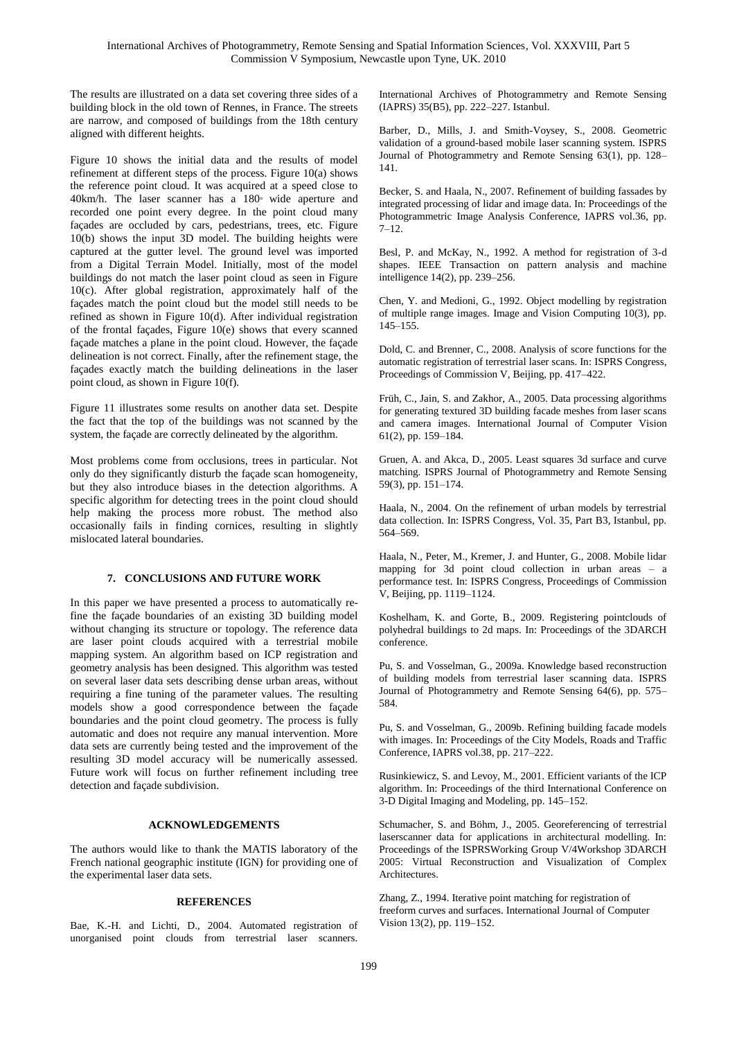The results are illustrated on a data set covering three sides of a building block in the old town of Rennes, in France. The streets are narrow, and composed of buildings from the 18th century aligned with different heights.

Figure 10 shows the initial data and the results of model refinement at different steps of the process. Figure 10(a) shows the reference point cloud. It was acquired at a speed close to 40km/h. The laser scanner has a 180° wide aperture and recorded one point every degree. In the point cloud many façades are occluded by cars, pedestrians, trees, etc. Figure 10(b) shows the input 3D model. The building heights were captured at the gutter level. The ground level was imported from a Digital Terrain Model. Initially, most of the model buildings do not match the laser point cloud as seen in Figure 10(c). After global registration, approximately half of the façades match the point cloud but the model still needs to be refined as shown in Figure 10(d). After individual registration of the frontal façades, Figure 10(e) shows that every scanned façade matches a plane in the point cloud. However, the façade delineation is not correct. Finally, after the refinement stage, the façades exactly match the building delineations in the laser point cloud, as shown in Figure 10(f).

Figure 11 illustrates some results on another data set. Despite the fact that the top of the buildings was not scanned by the system, the façade are correctly delineated by the algorithm.

Most problems come from occlusions, trees in particular. Not only do they significantly disturb the façade scan homogeneity, but they also introduce biases in the detection algorithms. A specific algorithm for detecting trees in the point cloud should help making the process more robust. The method also occasionally fails in finding cornices, resulting in slightly mislocated lateral boundaries.

# **7. CONCLUSIONS AND FUTURE WORK**

In this paper we have presented a process to automatically refine the façade boundaries of an existing 3D building model without changing its structure or topology. The reference data are laser point clouds acquired with a terrestrial mobile mapping system. An algorithm based on ICP registration and geometry analysis has been designed. This algorithm was tested on several laser data sets describing dense urban areas, without requiring a fine tuning of the parameter values. The resulting models show a good correspondence between the façade boundaries and the point cloud geometry. The process is fully automatic and does not require any manual intervention. More data sets are currently being tested and the improvement of the resulting 3D model accuracy will be numerically assessed. Future work will focus on further refinement including tree detection and façade subdivision.

### **ACKNOWLEDGEMENTS**

The authors would like to thank the MATIS laboratory of the French national geographic institute (IGN) for providing one of the experimental laser data sets.

### **REFERENCES**

Bae, K.-H. and Lichti, D., 2004. Automated registration of unorganised point clouds from terrestrial laser scanners.

International Archives of Photogrammetry and Remote Sensing (IAPRS) 35(B5), pp. 222–227. Istanbul.

Barber, D., Mills, J. and Smith-Voysey, S., 2008. Geometric validation of a ground-based mobile laser scanning system. ISPRS Journal of Photogrammetry and Remote Sensing 63(1), pp. 128– 141.

Becker, S. and Haala, N., 2007. Refinement of building fassades by integrated processing of lidar and image data. In: Proceedings of the Photogrammetric Image Analysis Conference, IAPRS vol.36, pp.  $7 - 12$ 

Besl, P. and McKay, N., 1992. A method for registration of 3-d shapes. IEEE Transaction on pattern analysis and machine intelligence 14(2), pp. 239–256.

Chen, Y. and Medioni, G., 1992. Object modelling by registration of multiple range images. Image and Vision Computing 10(3), pp. 145–155.

Dold, C. and Brenner, C., 2008. Analysis of score functions for the automatic registration of terrestrial laser scans. In: ISPRS Congress, Proceedings of Commission V, Beijing, pp. 417–422.

Früh, C., Jain, S. and Zakhor, A., 2005. Data processing algorithms for generating textured 3D building facade meshes from laser scans and camera images. International Journal of Computer Vision 61(2), pp. 159–184.

Gruen, A. and Akca, D., 2005. Least squares 3d surface and curve matching. ISPRS Journal of Photogrammetry and Remote Sensing 59(3), pp. 151–174.

Haala, N., 2004. On the refinement of urban models by terrestrial data collection. In: ISPRS Congress, Vol. 35, Part B3, Istanbul, pp. 564–569.

Haala, N., Peter, M., Kremer, J. and Hunter, G., 2008. Mobile lidar mapping for 3d point cloud collection in urban areas – a performance test. In: ISPRS Congress, Proceedings of Commission V, Beijing, pp. 1119–1124.

Koshelham, K. and Gorte, B., 2009. Registering pointclouds of polyhedral buildings to 2d maps. In: Proceedings of the 3DARCH conference.

Pu, S. and Vosselman, G., 2009a. Knowledge based reconstruction of building models from terrestrial laser scanning data. ISPRS Journal of Photogrammetry and Remote Sensing 64(6), pp. 575– 584.

Pu, S. and Vosselman, G., 2009b. Refining building facade models with images. In: Proceedings of the City Models, Roads and Traffic Conference, IAPRS vol.38, pp. 217–222.

Rusinkiewicz, S. and Levoy, M., 2001. Efficient variants of the ICP algorithm. In: Proceedings of the third International Conference on 3-D Digital Imaging and Modeling, pp. 145–152.

Schumacher, S. and Böhm, J., 2005. Georeferencing of terrestrial laserscanner data for applications in architectural modelling. In: Proceedings of the ISPRSWorking Group V/4Workshop 3DARCH 2005: Virtual Reconstruction and Visualization of Complex Architectures.

Zhang, Z., 1994. Iterative point matching for registration of freeform curves and surfaces. International Journal of Computer Vision 13(2), pp. 119–152.